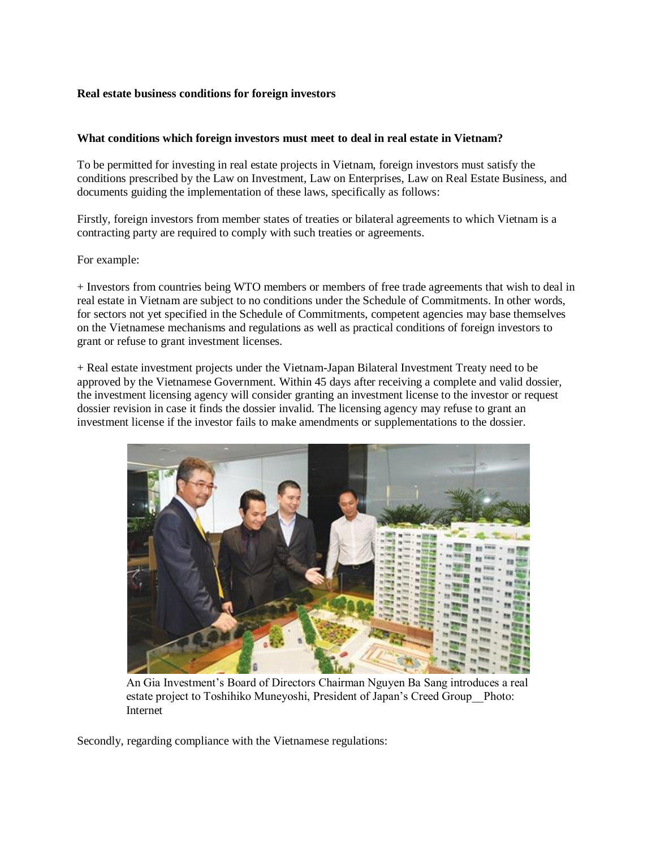## **Real estate business conditions for foreign investors**

### **What conditions which foreign investors must meet to deal in real estate in Vietnam?**

To be permitted for investing in real estate projects in Vietnam, foreign investors must satisfy the conditions prescribed by the Law on Investment, Law on Enterprises, Law on Real Estate Business, and documents guiding the implementation of these laws, specifically as follows:

Firstly, foreign investors from member states of treaties or bilateral agreements to which Vietnam is a contracting party are required to comply with such treaties or agreements.

#### For example:

+ Investors from countries being WTO members or members of free trade agreements that wish to deal in real estate in Vietnam are subject to no conditions under the Schedule of Commitments. In other words, for sectors not yet specified in the Schedule of Commitments, competent agencies may base themselves on the Vietnamese mechanisms and regulations as well as practical conditions of foreign investors to grant or refuse to grant investment licenses.

+ Real estate investment projects under the Vietnam-Japan Bilateral Investment Treaty need to be approved by the Vietnamese Government. Within 45 days after receiving a complete and valid dossier, the investment licensing agency will consider granting an investment license to the investor or request dossier revision in case it finds the dossier invalid. The licensing agency may refuse to grant an investment license if the investor fails to make amendments or supplementations to the dossier.



An Gia Investment's Board of Directors Chairman Nguyen Ba Sang introduces a real estate project to Toshihiko Muneyoshi, President of Japan's Creed Group\_\_Photo: Internet

Secondly, regarding compliance with the Vietnamese regulations: